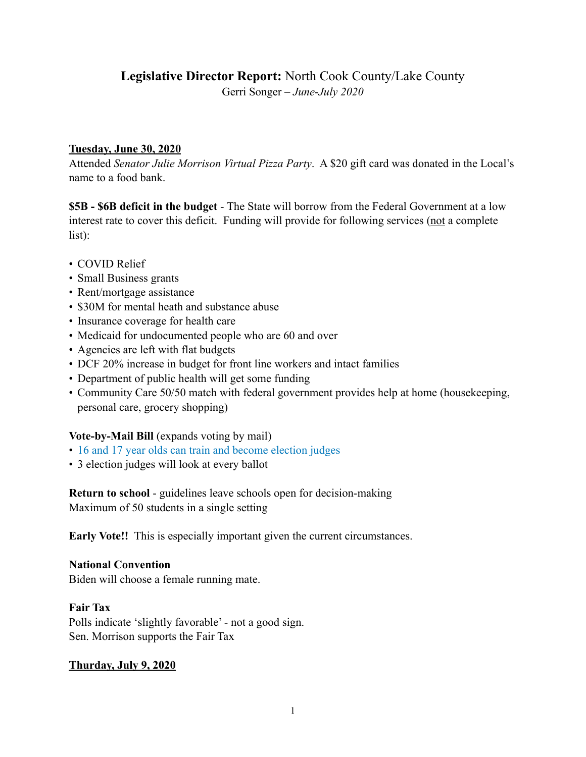# **Legislative Director Report:** North Cook County/Lake County

Gerri Songer – *June*-*July 2020*

#### **Tuesday, June 30, 2020**

Attended *Senator Julie Morrison Virtual Pizza Party*. A \$20 gift card was donated in the Local's name to a food bank.

**\$5B - \$6B deficit in the budget** - The State will borrow from the Federal Government at a low interest rate to cover this deficit. Funding will provide for following services (not a complete list):

- COVID Relief
- Small Business grants
- Rent/mortgage assistance
- \$30M for mental heath and substance abuse
- Insurance coverage for health care
- Medicaid for undocumented people who are 60 and over
- Agencies are left with flat budgets
- DCF 20% increase in budget for front line workers and intact families
- Department of public health will get some funding
- Community Care 50/50 match with federal government provides help at home (housekeeping, personal care, grocery shopping)

# **Vote-by-Mail Bill** (expands voting by mail)

- 16 and 17 year olds can train and become election judges
- 3 election judges will look at every ballot

**Return to school** - guidelines leave schools open for decision-making Maximum of 50 students in a single setting

**Early Vote!!** This is especially important given the current circumstances.

#### **National Convention**

Biden will choose a female running mate.

#### **Fair Tax**

Polls indicate 'slightly favorable' - not a good sign. Sen. Morrison supports the Fair Tax

# **Thurday, July 9, 2020**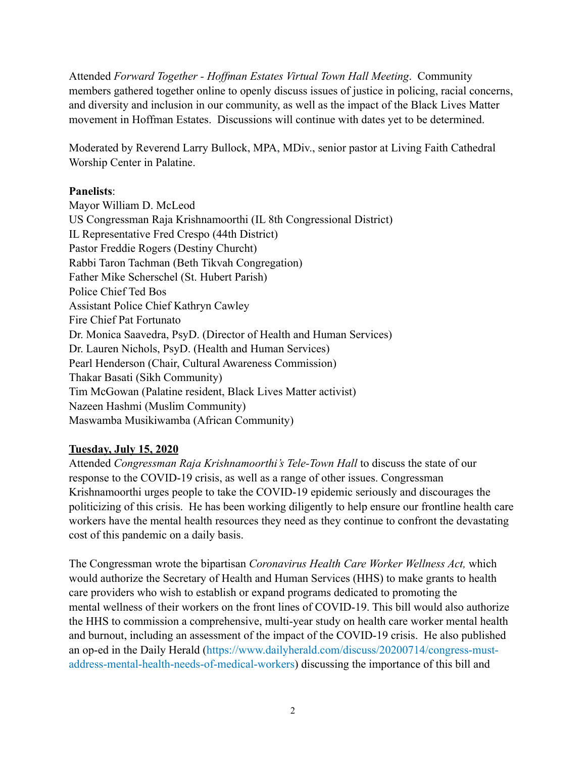Attended *Forward Together - Hoffman Estates Virtual Town Hall Meeting*. Community members gathered together online to openly discuss issues of justice in policing, racial concerns, and diversity and inclusion in our community, as well as the impact of the Black Lives Matter movement in Hoffman Estates. Discussions will continue with dates yet to be determined.

Moderated by Reverend Larry Bullock, MPA, MDiv., senior pastor at Living Faith Cathedral Worship Center in Palatine.

#### **Panelists**:

Mayor William D. McLeod US Congressman Raja Krishnamoorthi (IL 8th Congressional District) IL Representative Fred Crespo (44th District) Pastor Freddie Rogers (Destiny Churcht) Rabbi Taron Tachman (Beth Tikvah Congregation) Father Mike Scherschel (St. Hubert Parish) Police Chief Ted Bos Assistant Police Chief Kathryn Cawley Fire Chief Pat Fortunato Dr. Monica Saavedra, PsyD. (Director of Health and Human Services) Dr. Lauren Nichols, PsyD. (Health and Human Services) Pearl Henderson (Chair, Cultural Awareness Commission) Thakar Basati (Sikh Community) Tim McGowan (Palatine resident, Black Lives Matter activist) Nazeen Hashmi (Muslim Community) Maswamba Musikiwamba (African Community)

#### **Tuesday, July 15, 2020**

Attended *Congressman Raja Krishnamoorthi's Tele-Town Hall* to discuss the state of our response to the COVID-19 crisis, as well as a range of other issues. Congressman Krishnamoorthi urges people to take the COVID-19 epidemic seriously and discourages the politicizing of this crisis. He has been working diligently to help ensure our frontline health care workers have the mental health resources they need as they continue to confront the devastating cost of this pandemic on a daily basis.

The Congressman wrote the bipartisan *Coronavirus Health Care Worker Wellness Act,* which would authorize the Secretary of Health and Human Services (HHS) to make grants to health care providers who wish to establish or expand programs dedicated to promoting the mental wellness of their workers on the front lines of COVID-19. This bill would also authorize the HHS to commission a comprehensive, multi-year study on health care worker mental health and burnout, including an assessment of the impact of the COVID-19 crisis. He also published an op-ed in the Daily Herald ([https://www.dailyherald.com/discuss/20200714/congress-must](https://www.dailyherald.com/discuss/20200714/congress-must-address-mental-health-needs-of-medical-workers)[address-mental-health-needs-of-medical-workers\)](https://www.dailyherald.com/discuss/20200714/congress-must-address-mental-health-needs-of-medical-workers) discussing the importance of this bill and